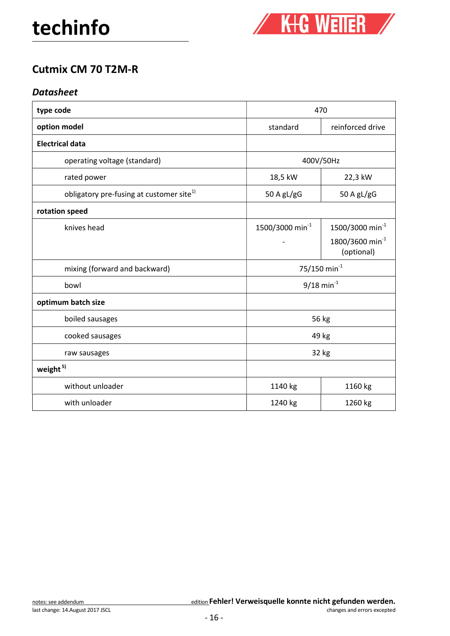

## Cutmix CM 70 T2M-R

## **Datasheet**

| type code                                            | 470                         |                                           |
|------------------------------------------------------|-----------------------------|-------------------------------------------|
| option model                                         | standard                    | reinforced drive                          |
| <b>Electrical data</b>                               |                             |                                           |
| operating voltage (standard)                         | 400V/50Hz                   |                                           |
| rated power                                          | 18,5 kW                     | 22,3 kW                                   |
| obligatory pre-fusing at customer site <sup>1)</sup> | 50 A $gL/gG$                | 50 A $gL/gG$                              |
| rotation speed                                       |                             |                                           |
| knives head                                          | 1500/3000 min <sup>-1</sup> | 1500/3000 min <sup>-1</sup>               |
|                                                      |                             | 1800/3600 min <sup>-1</sup><br>(optional) |
| mixing (forward and backward)                        | 75/150 min <sup>-1</sup>    |                                           |
| bowl                                                 | $9/18$ min <sup>-1</sup>    |                                           |
| optimum batch size                                   |                             |                                           |
| boiled sausages                                      | 56 kg                       |                                           |
| cooked sausages                                      | 49 kg                       |                                           |
| raw sausages                                         | 32 kg                       |                                           |
| weight <sup>5)</sup>                                 |                             |                                           |
| without unloader                                     | 1140 kg                     | 1160 kg                                   |
| with unloader                                        | 1240 kg                     | 1260 kg                                   |